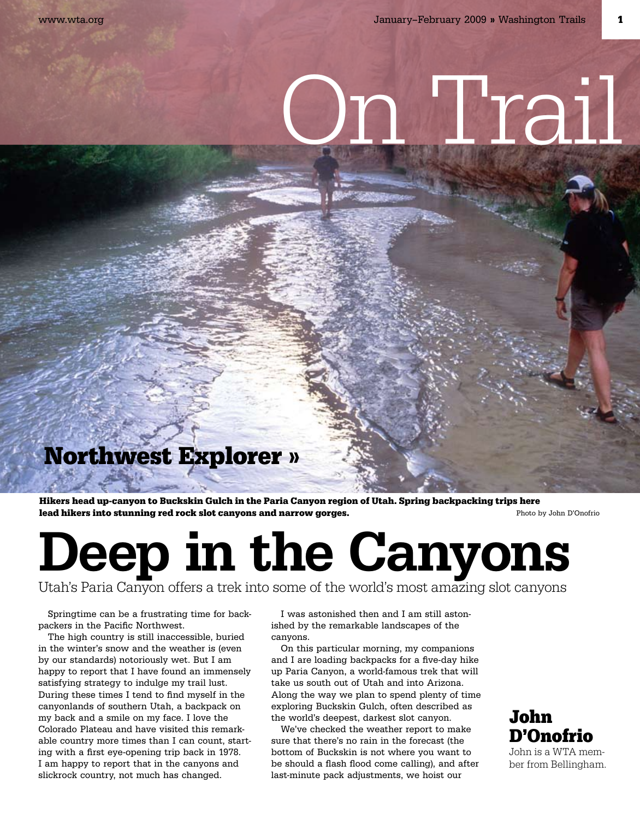# n Trail

### Northwest Explorer »

Hikers head up-canyon to Buckskin Gulch in the Paria Canyon region of Utah. Spring backpacking trips here lead hikers into stunning red rock slot canyons and narrow gorges.<br>
Photo by John D'Onofrio

## Deep in the Canyons

Utah's Paria Canyon offers a trek into some of the world's most amazing slot canyons

Springtime can be a frustrating time for backpackers in the Pacific Northwest.

The high country is still inaccessible, buried in the winter's snow and the weather is (even by our standards) notoriously wet. But I am happy to report that I have found an immensely satisfying strategy to indulge my trail lust. During these times I tend to find myself in the canyonlands of southern Utah, a backpack on my back and a smile on my face. I love the Colorado Plateau and have visited this remarkable country more times than I can count, starting with a first eye-opening trip back in 1978. I am happy to report that in the canyons and slickrock country, not much has changed.

I was astonished then and I am still astonished by the remarkable landscapes of the canyons.

On this particular morning, my companions and I are loading backpacks for a five-day hike up Paria Canyon, a world-famous trek that will take us south out of Utah and into Arizona. Along the way we plan to spend plenty of time exploring Buckskin Gulch, often described as the world's deepest, darkest slot canyon.

We've checked the weather report to make sure that there's no rain in the forecast (the bottom of Buckskin is not where you want to be should a flash flood come calling), and after last-minute pack adjustments, we hoist our

#### John D'Onofrio

John is a WTA member from Bellingham.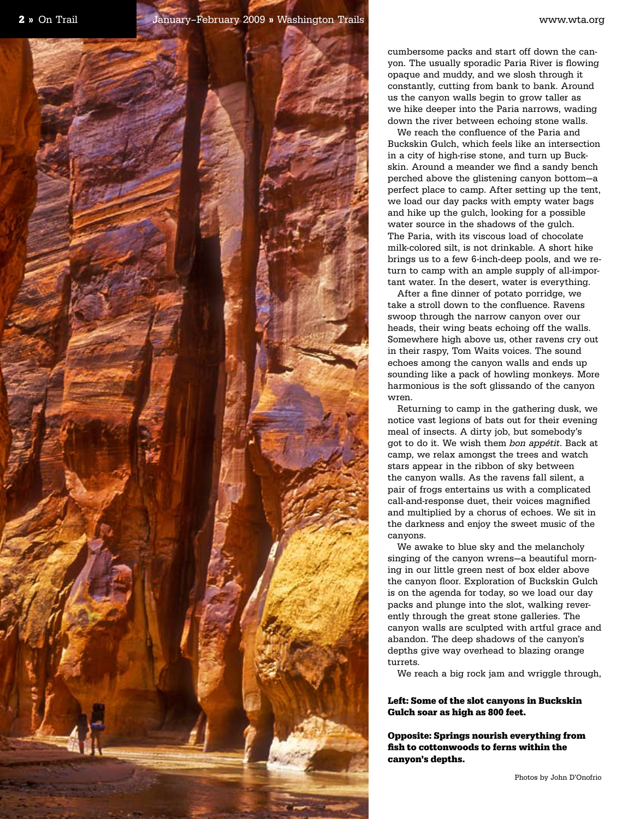cumbersome packs and start off down the canyon. The usually sporadic Paria River is flowing opaque and muddy, and we slosh through it constantly, cutting from bank to bank. Around us the canyon walls begin to grow taller as we hike deeper into the Paria narrows, wading down the river between echoing stone walls.

We reach the confluence of the Paria and Buckskin Gulch, which feels like an intersection in a city of high-rise stone, and turn up Buckskin. Around a meander we find a sandy bench perched above the glistening canyon bottom—a perfect place to camp. After setting up the tent, we load our day packs with empty water bags and hike up the gulch, looking for a possible water source in the shadows of the gulch. The Paria, with its viscous load of chocolate milk-colored silt, is not drinkable. A short hike brings us to a few 6-inch-deep pools, and we return to camp with an ample supply of all-important water. In the desert, water is everything.

After a fine dinner of potato porridge, we take a stroll down to the confluence. Ravens swoop through the narrow canyon over our heads, their wing beats echoing off the walls. Somewhere high above us, other ravens cry out in their raspy, Tom Waits voices. The sound echoes among the canyon walls and ends up sounding like a pack of howling monkeys. More harmonious is the soft glissando of the canyon wren

Returning to camp in the gathering dusk, we notice vast legions of bats out for their evening meal of insects. A dirty job, but somebody's got to do it. We wish them bon appétit. Back at camp, we relax amongst the trees and watch stars appear in the ribbon of sky between the canyon walls. As the ravens fall silent, a pair of frogs entertains us with a complicated call-and-response duet, their voices magnified and multiplied by a chorus of echoes. We sit in the darkness and enjoy the sweet music of the canyons.

We awake to blue sky and the melancholy singing of the canyon wrens—a beautiful morning in our little green nest of box elder above the canyon floor. Exploration of Buckskin Gulch is on the agenda for today, so we load our day packs and plunge into the slot, walking reverently through the great stone galleries. The canyon walls are sculpted with artful grace and abandon. The deep shadows of the canyon's depths give way overhead to blazing orange turrets.

We reach a big rock jam and wriggle through,

Left: Some of the slot canyons in Buckskin Gulch soar as high as 800 feet.

Opposite: Springs nourish everything from fish to cottonwoods to ferns within the canyon's depths.

Photos by John D'Onofrio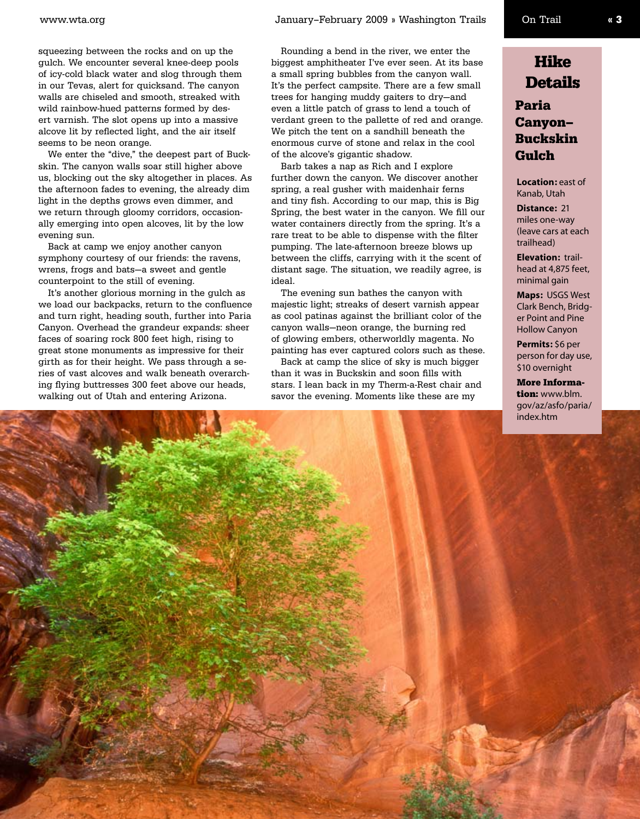squeezing between the rocks and on up the gulch. We encounter several knee-deep pools of icy-cold black water and slog through them in our Tevas, alert for quicksand. The canyon walls are chiseled and smooth, streaked with wild rainbow-hued patterns formed by desert varnish. The slot opens up into a massive alcove lit by reflected light, and the air itself seems to be neon orange.

We enter the "dive," the deepest part of Buckskin. The canyon walls soar still higher above us, blocking out the sky altogether in places. As the afternoon fades to evening, the already dim light in the depths grows even dimmer, and we return through gloomy corridors, occasionally emerging into open alcoves, lit by the low evening sun.

Back at camp we enjoy another canyon symphony courtesy of our friends: the ravens, wrens, frogs and bats—a sweet and gentle counterpoint to the still of evening.

It's another glorious morning in the gulch as we load our backpacks, return to the confluence and turn right, heading south, further into Paria Canyon. Overhead the grandeur expands: sheer faces of soaring rock 800 feet high, rising to great stone monuments as impressive for their girth as for their height. We pass through a series of vast alcoves and walk beneath overarching flying buttresses 300 feet above our heads, walking out of Utah and entering Arizona.

Rounding a bend in the river, we enter the biggest amphitheater I've ever seen. At its base a small spring bubbles from the canyon wall. It's the perfect campsite. There are a few small trees for hanging muddy gaiters to dry—and even a little patch of grass to lend a touch of verdant green to the pallette of red and orange. We pitch the tent on a sandhill beneath the enormous curve of stone and relax in the cool of the alcove's gigantic shadow.

Barb takes a nap as Rich and I explore further down the canyon. We discover another spring, a real gusher with maidenhair ferns and tiny fish. According to our map, this is Big Spring, the best water in the canyon. We fill our water containers directly from the spring. It's a rare treat to be able to dispense with the filter pumping. The late-afternoon breeze blows up between the cliffs, carrying with it the scent of distant sage. The situation, we readily agree, is ideal.

The evening sun bathes the canyon with majestic light; streaks of desert varnish appear as cool patinas against the brilliant color of the canyon walls—neon orange, the burning red of glowing embers, otherworldly magenta. No painting has ever captured colors such as these.

Back at camp the slice of sky is much bigger than it was in Buckskin and soon fills with stars. I lean back in my Therm-a-Rest chair and savor the evening. Moments like these are my



#### Paria Canyon– Buckskin Gulch

**Location:** east of Kanab, Utah

**Distance:** 21 miles one-way (leave cars at each trailhead)

**Elevation:** trailhead at 4,875 feet, minimal gain

**Maps:** USGS West Clark Bench, Bridger Point and Pine Hollow Canyon

**Permits:** \$6 per person for day use, \$10 overnight

More Information: www.blm. gov/az/asfo/paria/ index.htm